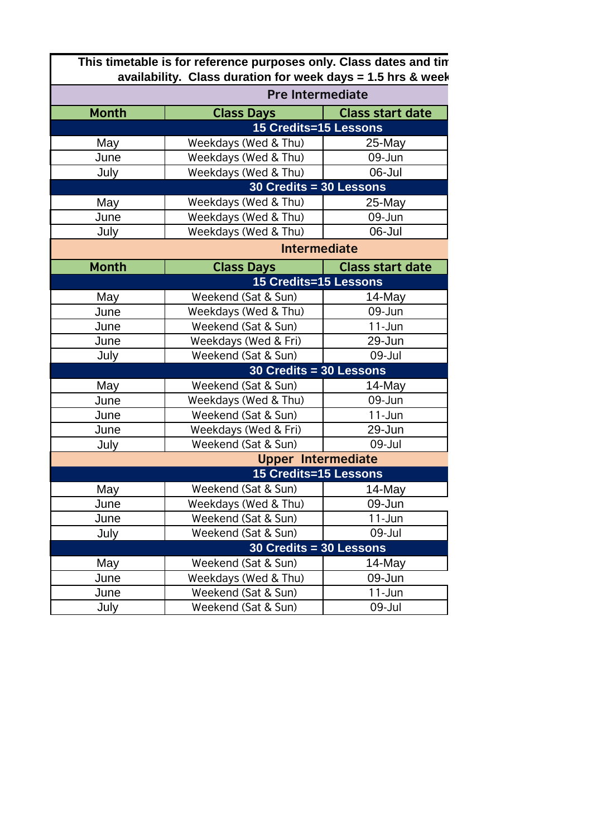|              | This timetable is for reference purposes only. Class dates and tin<br>availability. Class duration for week days = 1.5 hrs & week |                         |  |  |
|--------------|-----------------------------------------------------------------------------------------------------------------------------------|-------------------------|--|--|
|              | <b>Pre Intermediate</b>                                                                                                           |                         |  |  |
| <b>Month</b> | <b>Class Days</b>                                                                                                                 | <b>Class start date</b> |  |  |
|              | 15 Credits=15 Lessons                                                                                                             |                         |  |  |
| May          | Weekdays (Wed & Thu)                                                                                                              | $25$ -May               |  |  |
| June         | Weekdays (Wed & Thu)                                                                                                              | 09-Jun                  |  |  |
| July         | Weekdays (Wed & Thu)                                                                                                              | 06-Jul                  |  |  |
|              | 30 Credits = 30 Lessons                                                                                                           |                         |  |  |
| May          | Weekdays (Wed & Thu)                                                                                                              | $25$ -May               |  |  |
| June         | Weekdays (Wed & Thu)                                                                                                              | 09-Jun                  |  |  |
| July         | Weekdays (Wed & Thu)                                                                                                              | 06-Jul                  |  |  |
|              | <b>Intermediate</b>                                                                                                               |                         |  |  |
| <b>Month</b> | <b>Class Days</b>                                                                                                                 | <b>Class start date</b> |  |  |
|              | 15 Credits=15 Lessons                                                                                                             |                         |  |  |
| May          | Weekend (Sat & Sun)                                                                                                               | 14-May                  |  |  |
| June         | Weekdays (Wed & Thu)                                                                                                              | 09-Jun                  |  |  |
| June         | Weekend (Sat & Sun)                                                                                                               | $11 - Jun$              |  |  |
| June         | Weekdays (Wed & Fri)                                                                                                              | 29-Jun                  |  |  |
| July         | Weekend (Sat & Sun)                                                                                                               | 09-Jul                  |  |  |
|              | 30 Credits = 30 Lessons                                                                                                           |                         |  |  |
| May          | Weekend (Sat & Sun)                                                                                                               | $14$ -May               |  |  |
| June         | Weekdays (Wed & Thu)                                                                                                              | 09-Jun                  |  |  |
| June         | Weekend (Sat & Sun)                                                                                                               | $11 - Jun$              |  |  |
| June         | Weekdays (Wed & Fri)                                                                                                              | 29-Jun                  |  |  |
| July         | Weekend (Sat & Sun)                                                                                                               | 09-Jul                  |  |  |
|              | <b>Upper Intermediate</b>                                                                                                         |                         |  |  |
|              | 15 Credits=15 Lessons                                                                                                             |                         |  |  |
| May          | Weekend (Sat & Sun)                                                                                                               | 14-May                  |  |  |
| June         | Weekdays (Wed & Thu)                                                                                                              | 09-Jun                  |  |  |
| June         | Weekend (Sat & Sun)                                                                                                               | $11-Jun$                |  |  |
| July         | Weekend (Sat & Sun)                                                                                                               | 09-Jul                  |  |  |
|              | 30 Credits = 30 Lessons                                                                                                           |                         |  |  |
| May          | Weekend (Sat & Sun)                                                                                                               | $14$ -May               |  |  |
| June         | Weekdays (Wed & Thu)                                                                                                              | 09-Jun                  |  |  |
| June         | Weekend (Sat & Sun)                                                                                                               | $11 - Jun$              |  |  |
| July         | Weekend (Sat & Sun)                                                                                                               | 09-Jul                  |  |  |